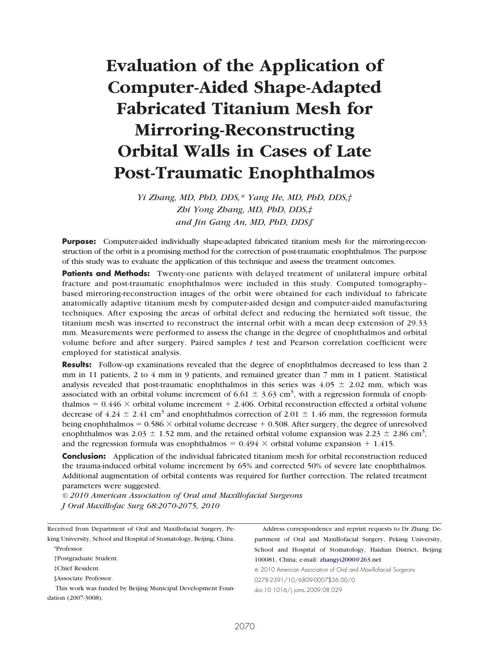# **Evaluation of the Application of Computer-Aided Shape-Adapted Fabricated Titanium Mesh for Mirroring-Reconstructing Orbital Walls in Cases of Late Post-Traumatic Enophthalmos**

*Yi Zhang, MD, PhD, DDS,\* Yang He, MD, PhD, DDS,† Zhi Yong Zhang, MD, PhD, DDS,‡ and Jin Gang An, MD, PhD, DDS§*

**Purpose:** Computer-aided individually shape-adapted fabricated titanium mesh for the mirroring-reconstruction of the orbit is a promising method for the correction of post-traumatic enophthalmos. The purpose of this study was to evaluate the application of this technique and assess the treatment outcomes.

**Patients and Methods:** Twenty-one patients with delayed treatment of unilateral impure orbital fracture and post-traumatic enophthalmos were included in this study. Computed tomography– based mirroring-reconstruction images of the orbit were obtained for each individual to fabricate anatomically adaptive titanium mesh by computer-aided design and computer-aided manufacturing techniques. After exposing the areas of orbital defect and reducing the herniated soft tissue, the titanium mesh was inserted to reconstruct the internal orbit with a mean deep extension of 29.33 mm. Measurements were performed to assess the change in the degree of enophthalmos and orbital volume before and after surgery. Paired samples *t* test and Pearson correlation coefficient were employed for statistical analysis.

**Results:** Follow-up examinations revealed that the degree of enophthalmos decreased to less than 2 mm in 11 patients, 2 to 4 mm in 9 patients, and remained greater than 7 mm in 1 patient. Statistical analysis revealed that post-traumatic enophthalmos in this series was  $4.05 \pm 2.02$  mm, which was associated with an orbital volume increment of 6.61  $\pm$  3.63 cm<sup>3</sup>, with a regression formula of enophthalmos =  $0.446 \times$  orbital volume increment + 2.406. Orbital reconstruction effected a orbital volume decrease of  $4.24 \pm 2.41$  cm<sup>3</sup> and enophthalmos correction of  $2.01 \pm 1.46$  mm, the regression formula being enophthalmos =  $0.586 \times$  orbital volume decrease  $+0.508$ . After surgery, the degree of unresolved enophthalmos was 2.03  $\pm$  1.52 mm, and the retained orbital volume expansion was 2.23  $\pm$  2.86 cm<sup>3</sup>, and the regression formula was enophthalmos =  $0.494 \times$  orbital volume expansion + 1.415.

**Conclusion:** Application of the individual fabricated titanium mesh for orbital reconstruction reduced the trauma-induced orbital volume increment by 65% and corrected 50% of severe late enophthalmos. Additional augmentation of orbital contents was required for further correction. The related treatment parameters were suggested.

*© 2010 American Association of Oral and Maxillofacial Surgeons J Oral Maxillofac Surg 68:2070-2075, 2010*

Received from Department of Oral and Maxillofacial Surgery, Peking University, School and Hospital of Stomatology, Beijing, China. \*Professor. †Postgraduate Student. ‡Chief Resident. §Associate Professor. This work was funded by Beijing Municipal Development Foundation (2007-3008). Address correspondence and reprint requests to Dr Zhang: Department of Oral and Maxillofacial Surgery, Peking University, School and Hospital of Stomatology, Haidian District, Beijing 100081, China; e-mail: [zhangyi2000@263.net](mailto:zhangyi2000@263.net) © 2010 American Association of Oral and Maxillofacial Surgeons 0278-2391/10/6809-0007\$36.00/0 doi:10.1016/j.joms.2009.08.029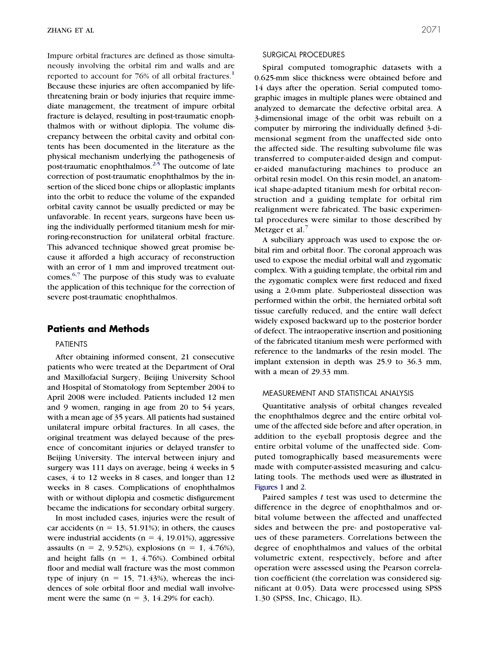Impure orbital fractures are defined as those simultaneously involving the orbital rim and walls and are reported to account for 76% of all orbital fractures.<sup>[1](#page-5-0)</sup> Because these injuries are often accompanied by lifethreatening brain or body injuries that require immediate management, the treatment of impure orbital fracture is delayed, resulting in post-traumatic enophthalmos with or without diplopia. The volume discrepancy between the orbital cavity and orbital contents has been documented in the literature as the physical mechanism underlying the pathogenesis of post-traumatic enophthalmos. $2-5$  The outcome of late correction of post-traumatic enophthalmos by the insertion of the sliced bone chips or alloplastic implants into the orbit to reduce the volume of the expanded orbital cavity cannot be usually predicted or may be unfavorable. In recent years, surgeons have been using the individually performed titanium mesh for mirroring-reconstruction for unilateral orbital fracture. This advanced technique showed great promise because it afforded a high accuracy of reconstruction with an error of 1 mm and improved treatment outcomes.[6,7](#page-5-0) The purpose of this study was to evaluate the application of this technique for the correction of severe post-traumatic enophthalmos.

# **Patients and Methods**

### PATIENTS

After obtaining informed consent, 21 consecutive patients who were treated at the Department of Oral and Maxillofacial Surgery, Beijing University School and Hospital of Stomatology from September 2004 to April 2008 were included. Patients included 12 men and 9 women, ranging in age from 20 to 54 years, with a mean age of 35 years. All patients had sustained unilateral impure orbital fractures. In all cases, the original treatment was delayed because of the presence of concomitant injuries or delayed transfer to Beijing University. The interval between injury and surgery was 111 days on average, being 4 weeks in 5 cases, 4 to 12 weeks in 8 cases, and longer than 12 weeks in 8 cases. Complications of enophthalmos with or without diplopia and cosmetic disfigurement became the indications for secondary orbital surgery.

In most included cases, injuries were the result of car accidents ( $n = 13, 51.91\%$ ); in others, the causes were industrial accidents ( $n = 4$ , 19.01%), aggressive assaults (n = 2, 9.52%), explosions (n = 1, 4.76%), and height falls  $(n = 1, 4.76%)$ . Combined orbital floor and medial wall fracture was the most common type of injury ( $n = 15, 71.43\%$ ), whereas the incidences of sole orbital floor and medial wall involvement were the same  $(n = 3, 14.29\%$  for each).

#### SURGICAL PROCEDURES

Spiral computed tomographic datasets with a 0.625-mm slice thickness were obtained before and 14 days after the operation. Serial computed tomographic images in multiple planes were obtained and analyzed to demarcate the defective orbital area. A 3-dimensional image of the orbit was rebuilt on a computer by mirroring the individually defined 3-dimensional segment from the unaffected side onto the affected side. The resulting subvolume file was transferred to computer-aided design and computer-aided manufacturing machines to produce an orbital resin model. On this resin model, an anatomical shape-adapted titanium mesh for orbital reconstruction and a guiding template for orbital rim realignment were fabricated. The basic experimental procedures were similar to those described by Metzger et al. $7$ 

A subciliary approach was used to expose the orbital rim and orbital floor. The coronal approach was used to expose the medial orbital wall and zygomatic complex. With a guiding template, the orbital rim and the zygomatic complex were first reduced and fixed using a 2.0-mm plate. Subperiosteal dissection was performed within the orbit, the herniated orbital soft tissue carefully reduced, and the entire wall defect widely exposed backward up to the posterior border of defect. The intraoperative insertion and positioning of the fabricated titanium mesh were performed with reference to the landmarks of the resin model. The implant extension in depth was 25.9 to 36.3 mm, with a mean of 29.33 mm.

## MEASUREMENT AND STATISTICAL ANALYSIS

Quantitative analysis of orbital changes revealed the enophthalmos degree and the entire orbital volume of the affected side before and after operation, in addition to the eyeball proptosis degree and the entire orbital volume of the unaffected side. Computed tomographically based measurements were made with computer-assisted measuring and calculating tools. The methods used were as illustrated in [Figures 1](#page-2-0) and [2.](#page-2-0)

Paired samples *t* test was used to determine the difference in the degree of enophthalmos and orbital volume between the affected and unaffected sides and between the pre- and postoperative values of these parameters. Correlations between the degree of enophthalmos and values of the orbital volumetric extent, respectively, before and after operation were assessed using the Pearson correlation coefficient (the correlation was considered significant at 0.05). Data were processed using SPSS 1.30 (SPSS, Inc, Chicago, IL).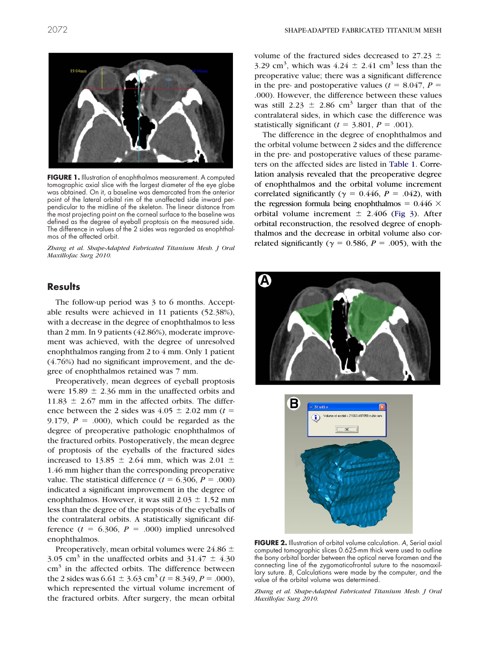<span id="page-2-0"></span>

**FIGURE 1.** Illustration of enophthalmos measurement. A computed tomographic axial slice with the largest diameter of the eye globe was obtained. On it, a baseline was demarcated from the anterior point of the lateral orbital rim of the unaffected side inward perpendicular to the midline of the skeleton. The linear distance from the most projecting point on the corneal surface to the baseline was defined as the degree of eyeball proptosis on the measured side. The difference in values of the 2 sides was regarded as enophthalmos of the affected orbit.

*Zhang et al. Shape-Adapted Fabricated Titanium Mesh. J Oral Maxillofac Surg 2010.*

## **Results**

The follow-up period was 3 to 6 months. Acceptable results were achieved in 11 patients (52.38%), with a decrease in the degree of enophthalmos to less than 2 mm. In 9 patients (42.86%), moderate improvement was achieved, with the degree of unresolved enophthalmos ranging from 2 to 4 mm. Only 1 patient (4.76%) had no significant improvement, and the degree of enophthalmos retained was 7 mm.

Preoperatively, mean degrees of eyeball proptosis were  $15.89 \pm 2.36$  mm in the unaffected orbits and  $11.83 \pm 2.67$  mm in the affected orbits. The difference between the 2 sides was  $4.05 \pm 2.02$  mm ( $t =$ 9.179,  $P = 0.000$ , which could be regarded as the degree of preoperative pathologic enophthalmos of the fractured orbits. Postoperatively, the mean degree of proptosis of the eyeballs of the fractured sides increased to 13.85  $\pm$  2.64 mm, which was 2.01  $\pm$ 1.46 mm higher than the corresponding preoperative value. The statistical difference  $(t = 6.306, P = .000)$ indicated a significant improvement in the degree of enophthalmos. However, it was still  $2.03 \pm 1.52$  mm less than the degree of the proptosis of the eyeballs of the contralateral orbits. A statistically significant difference  $(t = 6.306, P = .000)$  implied unresolved enophthalmos.

Preoperatively, mean orbital volumes were 24.86  $\pm$ 3.05 cm<sup>3</sup> in the unaffected orbits and  $31.47 \pm 4.30$  $cm<sup>3</sup>$  in the affected orbits. The difference between the 2 sides was  $6.61 \pm 3.63$  cm<sup>3</sup> ( $t = 8.349, P = .000$ ), which represented the virtual volume increment of the fractured orbits. After surgery, the mean orbital

volume of the fractured sides decreased to 27.23  $\pm$ 3.29 cm<sup>3</sup>, which was  $4.24 \pm 2.41$  cm<sup>3</sup> less than the preoperative value; there was a significant difference in the pre- and postoperative values  $(t = 8.047, P =$ .000). However, the difference between these values was still 2.23  $\pm$  2.86 cm<sup>3</sup> larger than that of the contralateral sides, in which case the difference was statistically significant ( $t = 3.801$ ,  $P = .001$ ).

The difference in the degree of enophthalmos and the orbital volume between 2 sides and the difference in the pre- and postoperative values of these parameters on the affected sides are listed in [Table 1.](#page-3-0) Correlation analysis revealed that the preoperative degree of enophthalmos and the orbital volume increment correlated significantly ( $\gamma = 0.446$ ,  $P = .042$ ), with the regression formula being enophthalmos =  $0.446 \times$ orbital volume increment  $\pm$  2.406 [\(Fig 3\)](#page-3-0). After orbital reconstruction, the resolved degree of enophthalmos and the decrease in orbital volume also correlated significantly ( $\gamma = 0.586$ ,  $P = .005$ ), with the





**FIGURE 2.** Illustration of orbital volume calculation. *A*, Serial axial computed tomographic slices 0.625-mm thick were used to outline the bony orbital border between the optical nerve foramen and the connecting line of the zygomaticofrontal suture to the nasomaxillary suture. *B*, Calculations were made by the computer, and the value of the orbital volume was determined.

*Zhang et al. Shape-Adapted Fabricated Titanium Mesh. J Oral Maxillofac Surg 2010.*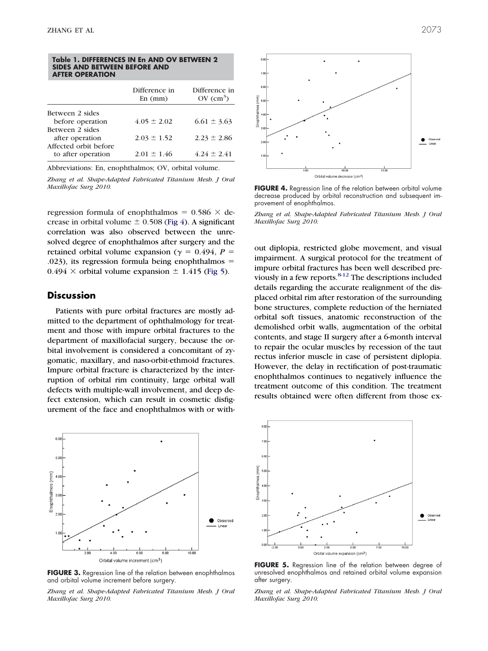| <b>SIDES AND BETWEEN BEFORE AND</b><br><b>AFTER OPERATION</b> |                            |                                        |
|---------------------------------------------------------------|----------------------------|----------------------------------------|
|                                                               | Difference in<br>$En$ (mm) | Difference in<br>OV (cm <sup>3</sup> ) |
| Between 2 sides                                               |                            |                                        |
| before operation                                              | $4.05 \pm 2.02$            | $6.61 \pm 3.63$                        |
| Between 2 sides                                               |                            |                                        |
| after operation                                               | $2.03 \pm 1.52$            | $2.23 \pm 2.86$                        |
| Affected orbit before                                         |                            |                                        |
| to after operation                                            | $2.01 \pm 1.46$            | $4.24 \pm 2.41$                        |
|                                                               |                            |                                        |

<span id="page-3-0"></span>**Table 1. DIFFERENCES IN En AND OV BETWEEN 2**

Abbreviations: En, enophthalmos; OV, orbital volume.

*Zhang et al. Shape-Adapted Fabricated Titanium Mesh. J Oral Maxillofac Surg 2010.*

regression formula of enophthalmos =  $0.586 \times$  decrease in orbital volume  $\pm$  0.508 (Fig 4). A significant correlation was also observed between the unresolved degree of enophthalmos after surgery and the retained orbital volume expansion ( $\gamma = 0.494$ , *P* = .023), its regression formula being enophthalmos  $=$  $0.494 \times$  orbital volume expansion  $\pm$  1.415 (Fig 5).

# **Discussion**

Patients with pure orbital fractures are mostly admitted to the department of ophthalmology for treatment and those with impure orbital fractures to the department of maxillofacial surgery, because the orbital involvement is considered a concomitant of zygomatic, maxillary, and naso-orbit-ethmoid fractures. Impure orbital fracture is characterized by the interruption of orbital rim continuity, large orbital wall defects with multiple-wall involvement, and deep defect extension, which can result in cosmetic disfigurement of the face and enophthalmos with or with-



**FIGURE 3.** Regression line of the relation between enophthalmos and orbital volume increment before surgery.





**FIGURE 4.** Regression line of the relation between orbital volume decrease produced by orbital reconstruction and subsequent improvement of enophthalmos.

out diplopia, restricted globe movement, and visual impairment. A surgical protocol for the treatment of impure orbital fractures has been well described pre-viously in a few reports.<sup>[8-12](#page-5-0)</sup> The descriptions included details regarding the accurate realignment of the displaced orbital rim after restoration of the surrounding bone structures, complete reduction of the herniated orbital soft tissues, anatomic reconstruction of the demolished orbit walls, augmentation of the orbital contents, and stage II surgery after a 6-month interval to repair the ocular muscles by recession of the taut rectus inferior muscle in case of persistent diplopia. However, the delay in rectification of post-traumatic enophthalmos continues to negatively influence the treatment outcome of this condition. The treatment results obtained were often different from those ex-



**FIGURE 5.** Regression line of the relation between degree of unresolved enophthalmos and retained orbital volume expansion after surgery.

*Zhang et al. Shape-Adapted Fabricated Titanium Mesh. J Oral Maxillofac Surg 2010.*

*Zhang et al. Shape-Adapted Fabricated Titanium Mesh. J Oral Maxillofac Surg 2010.*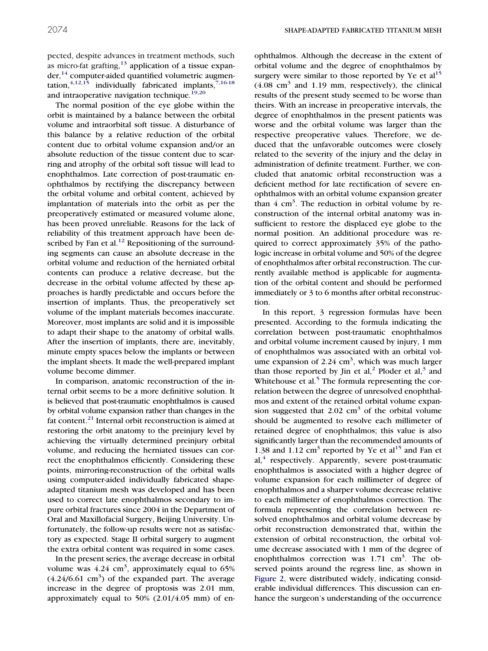pected, despite advances in treatment methods, such as micro-fat grafting, $13$  application of a tissue expan $der<sub>1</sub><sup>14</sup>$  computer-aided quantified volumetric augmentation,  $4,12,15$  individually fabricated implants,  $7,16.18$ and intraoperative navigation technique. $19,20$ 

The normal position of the eye globe within the orbit is maintained by a balance between the orbital volume and intraorbital soft tissue. A disturbance of this balance by a relative reduction of the orbital content due to orbital volume expansion and/or an absolute reduction of the tissue content due to scarring and atrophy of the orbital soft tissue will lead to enophthalmos. Late correction of post-traumatic enophthalmos by rectifying the discrepancy between the orbital volume and orbital content, achieved by implantation of materials into the orbit as per the preoperatively estimated or measured volume alone, has been proved unreliable. Reasons for the lack of reliability of this treatment approach have been described by Fan et al. $^{12}$  $^{12}$  $^{12}$  Repositioning of the surrounding segments can cause an absolute decrease in the orbital volume and reduction of the herniated orbital contents can produce a relative decrease, but the decrease in the orbital volume affected by these approaches is hardly predictable and occurs before the insertion of implants. Thus, the preoperatively set volume of the implant materials becomes inaccurate. Moreover, most implants are solid and it is impossible to adapt their shape to the anatomy of orbital walls. After the insertion of implants, there are, inevitably, minute empty spaces below the implants or between the implant sheets. It made the well-prepared implant volume become dimmer.

In comparison, anatomic reconstruction of the internal orbit seems to be a more definitive solution. It is believed that post-traumatic enophthalmos is caused by orbital volume expansion rather than changes in the fat content.<sup>[21](#page-5-0)</sup> Internal orbit reconstruction is aimed at restoring the orbit anatomy to the preinjury level by achieving the virtually determined preinjury orbital volume, and reducing the herniated tissues can correct the enophthalmos efficiently. Considering these points, mirroring-reconstruction of the orbital walls using computer-aided individually fabricated shapeadapted titanium mesh was developed and has been used to correct late enophthalmos secondary to impure orbital fractures since 2004 in the Department of Oral and Maxillofacial Surgery, Beijing University. Unfortunately, the follow-up results were not as satisfactory as expected. Stage II orbital surgery to augment the extra orbital content was required in some cases.

In the present series, the average decrease in orbital volume was  $4.24 \text{ cm}^3$ , approximately equal to 65%  $(4.24/6.61 \text{ cm}^3)$  of the expanded part. The average increase in the degree of proptosis was 2.01 mm, approximately equal to 50% (2.01/4.05 mm) of enophthalmos. Although the decrease in the extent of orbital volume and the degree of enophthalmos by surgery were similar to those reported by Ye et  $al<sup>15</sup>$  $(4.08 \text{ cm}^3 \text{ and } 1.19 \text{ mm}, \text{ respectively})$ , the clinical results of the present study seemed to be worse than theirs. With an increase in preoperative intervals, the degree of enophthalmos in the present patients was worse and the orbital volume was larger than the respective preoperative values. Therefore, we deduced that the unfavorable outcomes were closely related to the severity of the injury and the delay in administration of definite treatment. Further, we concluded that anatomic orbital reconstruction was a deficient method for late rectification of severe enophthalmos with an orbital volume expansion greater than 4 cm<sup>3</sup>. The reduction in orbital volume by reconstruction of the internal orbital anatomy was insufficient to restore the displaced eye globe to the normal position. An additional procedure was required to correct approximately 35% of the pathologic increase in orbital volume and 50% of the degree of enophthalmos after orbital reconstruction. The currently available method is applicable for augmentation of the orbital content and should be performed immediately or 3 to 6 months after orbital reconstruction.

In this report, 3 regression formulas have been presented. According to the formula indicating the correlation between post-traumatic enophthalmos and orbital volume increment caused by injury, 1 mm of enophthalmos was associated with an orbital volume expansion of  $2.24 \text{ cm}^3$ , which was much larger than those reported by Jin et al,<sup>2</sup> Ploder et al,<sup>3</sup> and Whitehouse et al. $5$  The formula representing the correlation between the degree of unresolved enophthalmos and extent of the retained orbital volume expansion suggested that  $2.02 \text{ cm}^3$  of the orbital volume should be augmented to resolve each millimeter of retained degree of enophthalmos; this value is also significantly larger than the recommended amounts of 1.38 and 1.12  $\text{cm}^3$  reported by Ye et al<sup>15</sup> and Fan et  $aI<sub>1</sub><sup>4</sup>$  $aI<sub>1</sub><sup>4</sup>$  $aI<sub>1</sub><sup>4</sup>$  respectively. Apparently, severe post-traumatic enophthalmos is associated with a higher degree of volume expansion for each millimeter of degree of enophthalmos and a sharper volume decrease relative to each millimeter of enophthalmos correction. The formula representing the correlation between resolved enophthalmos and orbital volume decrease by orbit reconstruction demonstrated that, within the extension of orbital reconstruction, the orbital volume decrease associated with 1 mm of the degree of enophthalmos correction was  $1.71 \text{ cm}^3$ . The observed points around the regress line, as shown in [Figure 2,](#page-2-0) were distributed widely, indicating considerable individual differences. This discussion can enhance the surgeon's understanding of the occurrence